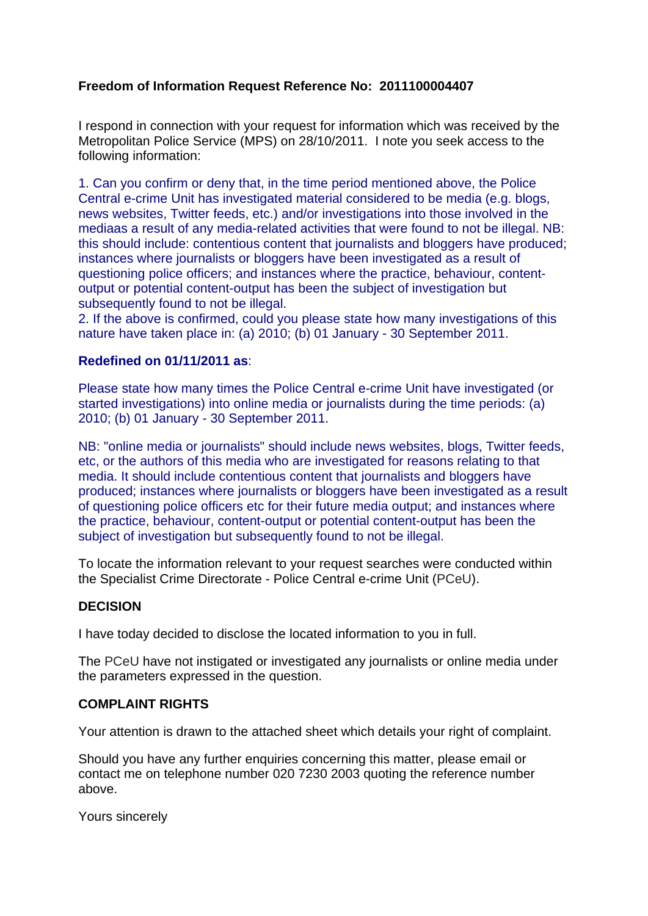## **Freedom of Information Request Reference No: 2011100004407**

I respond in connection with your request for information which was received by the Metropolitan Police Service (MPS) on 28/10/2011. I note you seek access to the following information:

1. Can you confirm or deny that, in the time period mentioned above, the Police Central e-crime Unit has investigated material considered to be media (e.g. blogs, news websites, Twitter feeds, etc.) and/or investigations into those involved in the mediaas a result of any media-related activities that were found to not be illegal. NB: this should include: contentious content that journalists and bloggers have produced; instances where journalists or bloggers have been investigated as a result of questioning police officers; and instances where the practice, behaviour, contentoutput or potential content-output has been the subject of investigation but subsequently found to not be illegal.

2. If the above is confirmed, could you please state how many investigations of this nature have taken place in: (a) 2010; (b) 01 January - 30 September 2011.

## **Redefined on 01/11/2011 as**:

Please state how many times the Police Central e-crime Unit have investigated (or started investigations) into online media or journalists during the time periods: (a) 2010; (b) 01 January - 30 September 2011.

NB: "online media or journalists" should include news websites, blogs, Twitter feeds, etc, or the authors of this media who are investigated for reasons relating to that media. It should include contentious content that journalists and bloggers have produced; instances where journalists or bloggers have been investigated as a result of questioning police officers etc for their future media output; and instances where the practice, behaviour, content-output or potential content-output has been the subject of investigation but subsequently found to not be illegal.

To locate the information relevant to your request searches were conducted within the Specialist Crime Directorate - Police Central e-crime Unit (PCeU).

## **DECISION**

I have today decided to disclose the located information to you in full.

The PCeU have not instigated or investigated any journalists or online media under the parameters expressed in the question.

## **COMPLAINT RIGHTS**

Your attention is drawn to the attached sheet which details your right of complaint.

Should you have any further enquiries concerning this matter, please email or contact me on telephone number 020 7230 2003 quoting the reference number above.

Yours sincerely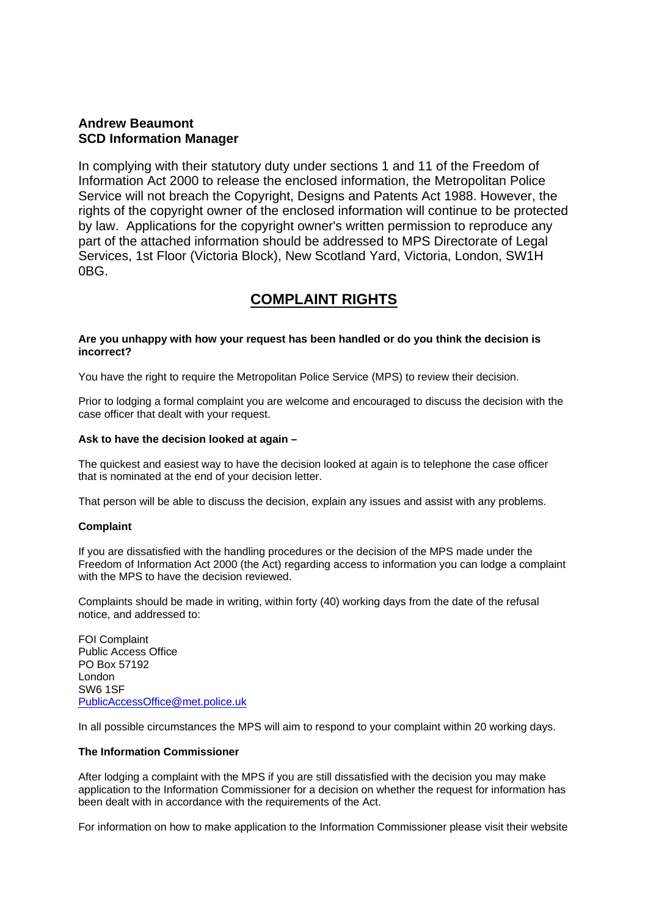## **Andrew Beaumont SCD Information Manager**

In complying with their statutory duty under sections 1 and 11 of the Freedom of Information Act 2000 to release the enclosed information, the Metropolitan Police Service will not breach the Copyright, Designs and Patents Act 1988. However, the rights of the copyright owner of the enclosed information will continue to be protected by law. Applications for the copyright owner's written permission to reproduce any part of the attached information should be addressed to MPS Directorate of Legal Services, 1st Floor (Victoria Block), New Scotland Yard, Victoria, London, SW1H 0BG.

# **COMPLAINT RIGHTS**

#### **Are you unhappy with how your request has been handled or do you think the decision is incorrect?**

You have the right to require the Metropolitan Police Service (MPS) to review their decision.

Prior to lodging a formal complaint you are welcome and encouraged to discuss the decision with the case officer that dealt with your request.

#### **Ask to have the decision looked at again –**

The quickest and easiest way to have the decision looked at again is to telephone the case officer that is nominated at the end of your decision letter.

That person will be able to discuss the decision, explain any issues and assist with any problems.

### **Complaint**

If you are dissatisfied with the handling procedures or the decision of the MPS made under the Freedom of Information Act 2000 (the Act) regarding access to information you can lodge a complaint with the MPS to have the decision reviewed.

Complaints should be made in writing, within forty (40) working days from the date of the refusal notice, and addressed to:

FOI Complaint Public Access Office PO Box 57192 London SW6 1SF PublicAccessOffice@met.police.uk

In all possible circumstances the MPS will aim to respond to your complaint within 20 working days.

#### **The Information Commissioner**

After lodging a complaint with the MPS if you are still dissatisfied with the decision you may make application to the Information Commissioner for a decision on whether the request for information has been dealt with in accordance with the requirements of the Act.

For information on how to make application to the Information Commissioner please visit their website